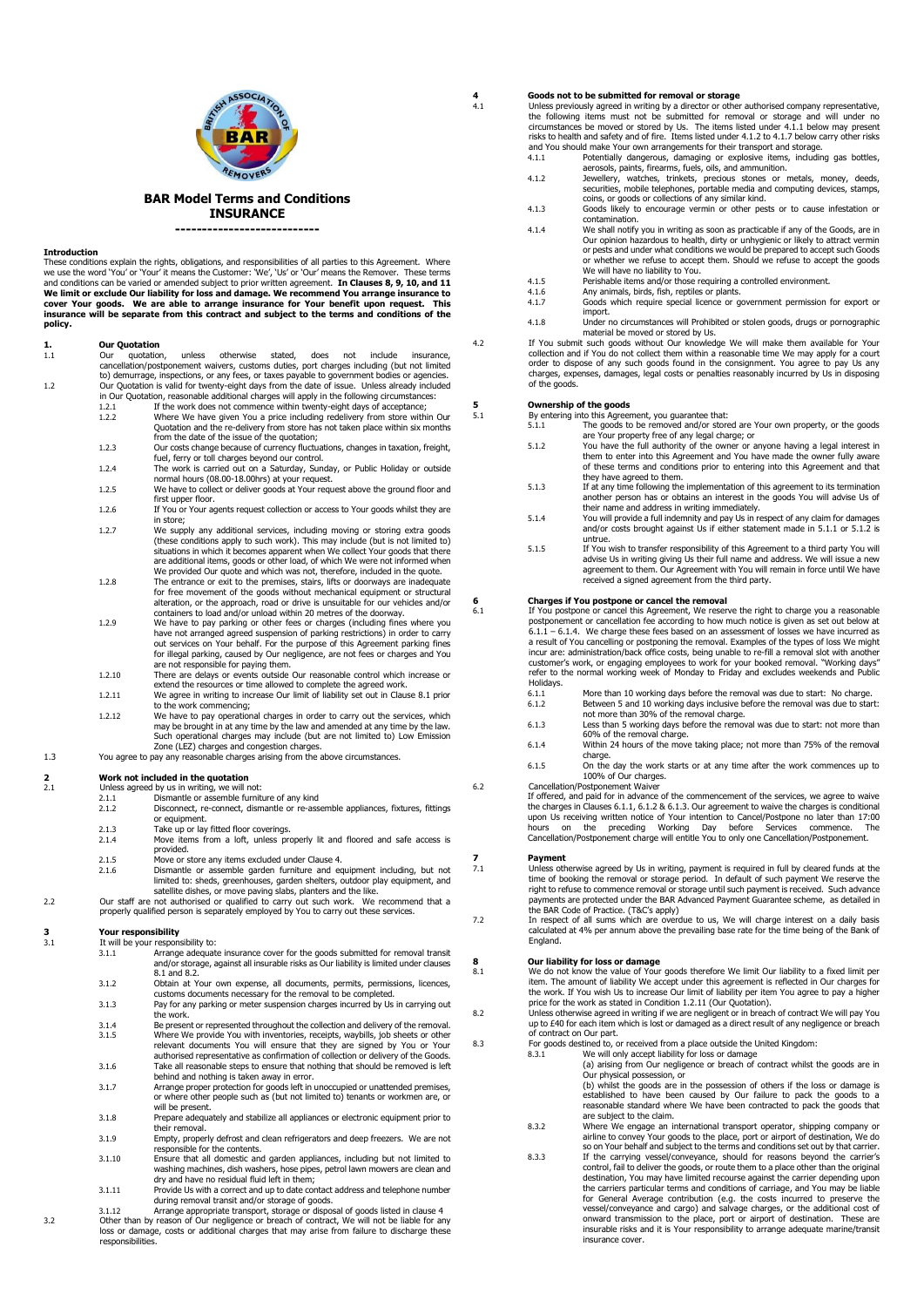

## **BAR Model Terms and Conditions INSURANCE ---------------------------**

**Introduction** These conditions explain the rights, obligations, and responsibilities of all parties to this Agreement. Where we use the word 'You' or 'Your' it means the Customer: 'We', 'Us' or 'Our' means the Remover. These terms and conditions can be varied or amended subject to prior written agreement. **In Clauses 8, 9, 10, and 11 We limit or exclude Our liability for loss and damage. We recommend You arrange insurance to cover Your goods. We are able to arrange insurance for Your benefit upon request. This insurance will be separate from this contract and subject to the terms and conditions of the policy.** 

# **1. Our Quotation**<br>1.1 Our quotation.

- unless otherwise stated, does not include insurance, cancellation/postponement waivers, customs duties, port charges including (but not limited to) demurrage, inspections, or any fees, or taxes payable to government bodies or agencies. 1.2 Our Quotation is valid for twenty-eight days from the date of issue. Unless already included in Our Quotation, reasonable additional charges will apply in the following circumstances:
	- 1.2.1 If the work does not commence within twenty-eight days of acceptance;<br>1.2.2 Where We have given You a price including redelivery from store within
		- 1.2.2 Where We have given You a price including redelivery from store within Our Quotation and the re-delivery from store has not taken place within six months from the date of the issue of the quotation;
		- 1.2.3 Our costs change because of currency fluctuations, changes in taxation, freight, fuel, ferry or toll charges beyond our control. 1.2.4 The work is carried out on a Saturday, Sunday, or Public Holiday or outside
		- normal hours (08.00-18.00hrs) at your request. 1.2.5 We have to collect or deliver goods at Your request above the ground floor and
		- first upper floor. 1.2.6 If You or Your agents request collection or access to Your goods whilst they are
		- in store;
		- 1.2.7 We supply any additional services, including moving or storing extra goods (these conditions apply to such work). This may include (but is not limited to) situations in which it becomes apparent when We collect Your goods that there are additional items, goods or other load, of which We were not informed when We provided Our quote and which was not, therefore, included in the quote.
		- 1.2.8 The entrance or exit to the premises, stairs, lifts or doorways are inadequate for free movement of the goods without mechanical equipment or structural alteration, or the approach, road or drive is unsuitable for our vehicles and/or<br>containers to load and/or unload within 20 metres of the doorway.<br>1.2.9 We have to pay parking or other fees or charges (including fines wher
		- have not arranged agreed suspension of parking restrictions) in order to carry<br>out services on Your behalf. For the purpose of this Agreement parking fines<br>for illegal parking, caused by Our negligence, are not fees or cha
		- are not responsible for paying them.<br>1.2.10 There are delays or events outside Our reasonable control which increase or<br>extend the resources or time allowed to complete the agreed work.
		- 1.2.11 We agree in writing to increase Our limit of liability set out in Clause 8.1 prior to the work commencing;
		- 1.2.12 We have to pay operational charges in order to carry out the services, which may be brought in at any time by the law and amended at any time by the law. Such operational charges may include (but are not limited to) Low Emission Zone (LEZ) charges and congestion charges.
- 1.3 You agree to pay any reasonable charges arising from the above circumstances.

# **2 2 Work not included in the quotation**<br>2.1 **Unless agreed by us in writing.** We will

- Unless agreed by us in writing, we will not:
- 2.1.1 Dismantle or assemble furniture of any kind<br>2.1.2 Disconnect. re-connect. dismantle or re-ass Disconnect, re-connect, dismantle or re-assemble appliances, fixtures, fittings
- 
- or equipment. 2.1.3 Take up or lay fitted floor coverings.
- 2.1.4 Move items from a loft, unless properly lit and floored and safe access is provided.
- 2.1.5 Move or store any items excluded under Clause 4.<br>2.1.6 Dismantle or assemble garden furniture and ex-
- 2.1.6 Dismantle or assemble garden furniture and equipment including, but not limited to: sheds, greenhouses, garden shelters, outdoor play equipment, and satellite dishes, or move paving slabs, planters and the like.
- 2.2 Our staff are not authorised or qualified to carry out such work. We recommend that a properly qualified person is separately employed by You to carry out these services.

# **3 Your responsibility**<br>**3.1 It will be your respon**

- It will be your responsibility to:<br>3.1.1 Arrange adequate
- 3.1.1 Arrange adequate insurance cover for the goods submitted for removal transit and/or storage, against all insurable risks as Our liability is limited under clauses 8.1 and 8.2.
- 3.1.2 Obtain at Your own expense, all documents, permits, permissions, licences, customs documents necessary for the removal to be completed. 3.1.3 Pay for any parking or meter suspension charges incurred by Us in carrying out
- the work.
- 3.1.4 Be present or represented throughout the collection and delivery of the removal.<br>3.1.5 Where We provide You with inventories, receipts, waybills, job sheets or other<br>relevant documents You will ensure that they are s authorised representative as confirmation of collection or delivery of the Goods.
- 3.1.6 Take all reasonable steps to ensure that nothing that should be removed is left behind and nothing is taken away in error.
- 3.1.7 Arrange proper protection for goods left in unoccupied or unattended premises, or where other people such as (but not limited to) tenants or workmen are, or will be present.
- 3.1.8 Prepare adequately and stabilize all appliances or electronic equipment prior to their removal.
- 3.1.9 Empty, properly defrost and clean refrigerators and deep freezers. We are not sible for the contents. 3.1.10 Ensure that all domestic and garden appliances, including but not limited to
- washing machines, dish washers, hose pipes, petrol lawn mowers are clean and dry and have no residual fluid left in them;
- 3.1.11 Provide Us with a correct and up to date contact address and telephone number
- during removal transit and/or storage of goods.<br>3.1.12 Arrange appropriate transport, storage or disposal of goods listed in clause 4<br>3.2 Other than by reason of Our negligence or breach of contract, We will not be liable

# **4 Goods not to be submitted for removal or storage**

4.1 Unless previously agreed in writing by a director or other authorised company representative,<br>the following items must not be submitted for removal or storage and will under no<br>circumstances be moved or stored by Us. T

- and You should make Your own arrangements for their transport and storage. 4.1.1 Potentially dangerous, damaging or explosive items, including gas bottles,
- aerosols, paints, firearms, fuels, oils, and ammunition. 4.1.2 Jewellery, watches, trinkets, precious stones or metals, money, deeds, securities, mobile telephones, portable media and computing devices, stamps,
- coins, or goods or collections of any similar kind. 4.1.3 Goods likely to encourage vermin or other pests or to cause infestation or contamination.
- 4.1.4 We shall notify you in writing as soon as practicable if any of the Goods, are in Our opinion hazardous to health, dirty or unhygienic or likely to attract vermin or pests and under what conditions we would be prepared to accept such Goods or whether we refuse to accept them. Should we refuse to accept the goods We will have no liability to You.
- 
- 4.1.5 Perishable items and/or those requiring a controlled environment<br>4.1.6 Any animals, birds, fish, reptiles or plants.<br>4.1.7 Goods which require special licence or government permission 4.1.6 Any animals, birds, fish, reptiles or plants. 4.1.7 Goods which require special licence or government permission for export or
- import. 4.1.8 Under no circumstances will Prohibited or stolen goods, drugs or pornographic
- 

material be moved or stored by Us.<br>4.2 If You submit such goods without Our knowledge We will make them available for Your<br>collection and if You do not collect them within a reasonable time We may apply for a court order to dispose of any such goods found in the consignment. You agree to pay Us any charges, expenses, damages, legal costs or penalties reasonably incurred by Us in disposing of the goods.

# **5 Ownership of the goods**<br>5.1 **By entering into this Agreer**

- 5.1 By entering into this Agreement, you guarantee that: 5.1.1 The goods to be removed and/or stored are Your own property, or the goods are Your property free of any legal charge; or
	- 5.1.2 You have the full authority of the owner or anyone having a legal interest in them to enter into this Agreement and You have made the owner fully aware of these terms and conditions prior to entering into this Agreement and that
	- they have agreed to them. 5.1.3 If at any time following the implementation of this agreement to its termination another person has or obtains an interest in the goods You will advise Us of
	- their name and address in writing immediately. 5.1.4 You will provide a full indemnity and pay Us in respect of any claim for damages and/or costs brought against Us if either statement made in 5.1.1 or 5.1.2 is untrue.
	- 5.1.5 If You wish to transfer responsibility of this Agreement to a third party You will advise Us in writing giving Us their full name and address. We will issue a new agreement to them. Our Agreement with You will remain in force until We have received a signed agreement from the third party.

# **6 Charges if You postpone or cancel the removal** 6.1 **If You postpone or cancel this Agreement.** We reser

If You postpone or cancel this Agreement, We reserve the right to charge you a reasonable postponement or cancellation fee according to how much notice is given as set out below at<br>6.1.1 – 6.1.4. We charge these fees based on an assessment of losses we have incurred as<br>a result of You cancelling or postponing incur are: administration/back office costs, being unable to re-fill a removal slot with another<br>customer's work, or engaging employees to work for your booked removal. "Working days"<br>refer to the normal working week of Mo Holidays.

- 6.1.1 More than 10 working days before the removal was due to start: No charge.<br>6.1.2 Between 5 and 10 working days inclusive before the removal was due to sta
- 6.1.2 Between 5 and 10 working days inclusive before the removal was due to start: not more than 30% of the removal charge. 6.1.3 Less than 5 working days before the removal was due to start: not more than
- 60% of the removal charge. 6.1.4 Within 24 hours of the move taking place; not more than 75% of the removal charge.
- 6.1.5 On the day the work starts or at any time after the work commences up to 100% of Our charges.
- 6.2 Cancellation/Postponement Waiver

If offered, and paid for in advance of the commencement of the services, we agree to waive the charges in Clauses 6.1.1, 6.1.2 & 6.1.3. Our agreement to waive the charges is conditional upon Us receiving written notice of Your intention to Cancel/Postpone no later than 17:00<br>hours on the preceding Working Day before Services commence. The<br>Cancellation/Postponement charge will entitle You

## **7 Payment**

7.1 Unless otherwise agreed by Us in writing, payment is required in full by cleared funds at the time of booking the removal or storage period. In default of such payment We reserve the right to refuse to commence removal or storage until such payment is received. Such advance payments are protected under the BAR Advanced Payment Guarantee scheme, as detailed in the BAR Code of Practice. (T&C's apply) 7.2 In respect of all sums which are overdue to us, We will charge interest on a daily basis

calculated at 4% per annum above the prevailing base rate for the time being of the Bank of England.

**8 Our liability for loss or damage**  8.1 We do not know the value of Your goods therefore We limit Our liability to a fixed limit per item. The amount of liability We accept under this agreement is reflected in Our charges for<br>the work. If You wish Us to increase Our limit of liability per item You agree to pay a higher<br>price for the work as stated in Co

8.2 Unless otherwise agreed in writing if we are negligent or in breach of contract We will pay You up to £40 for each item which is lost or damaged as a direct result of any negligence or breach of contract on Our part.

- 
- 8.3 For goods destined to, or received from a place outside the United Kingdom:<br>8.3.1 We will only accept liability for loss or damage<br>(a) arising from Our negligence or breach of contract whilst the goods are in
	- Our physical possession, or (b) whilst the goods are in the possession of others if the loss or damage is
	- established to have been caused by Our failure to pack the goods to a reasonable standard where We have been contracted to pack the goods that are subject to the claim.
	- 8.3.2 Where We engage an international transport operator, shipping company or<br>airline to convey Your goods to the place, port or airport of destination, We do<br>so on Your behalf and subject to the terms and conditions set
	- 8.3.3 If the carrying vessel/conveyance, should for reasons beyond the carrier's control, fail to deliver the goods, or route them to a place other than the original destination, You may have limited recourse against the carrier depending upon<br>the carriers particular terms and conditions of carriage, and You may be liable<br>for General Average contribution (e.g. the costs incurred to pre insurance cover.